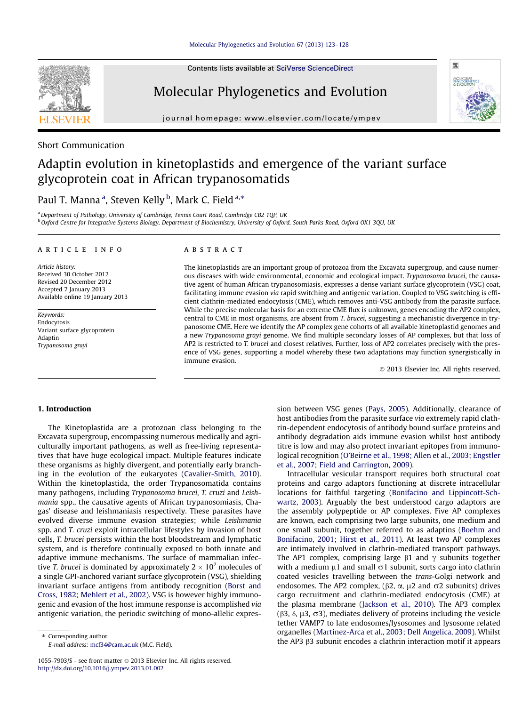Contents lists available at [SciVerse ScienceDirect](http://www.sciencedirect.com/science/journal/10557903)

# Molecular Phylogenetics and Evolution

journal homepage: [www.elsevier.com/locate/ympev](http://www.elsevier.com/locate/ympev)



# Adaptin evolution in kinetoplastids and emergence of the variant surface glycoprotein coat in African trypanosomatids

# Paul T. Manna <sup>a</sup>, Steven Kelly <sup>b</sup>, Mark C. Field <sup>a,</sup>\*

<sup>a</sup> Department of Pathology, University of Cambridge, Tennis Court Road, Cambridge CB2 10P, UK b Oxford Centre for Integrative Systems Biology, Department of Biochemistry, University of Oxford, South Parks Road, Oxford OX1 3QU, UK

# article info

Article history: Received 30 October 2012 Revised 20 December 2012 Accepted 7 January 2013 Available online 19 January 2013

Keywords: Endocytosis Variant surface glycoprotein Adaptin Trypanosoma grayi

# ABSTRACT

The kinetoplastids are an important group of protozoa from the Excavata supergroup, and cause numerous diseases with wide environmental, economic and ecological impact. Trypanosoma brucei, the causative agent of human African trypanosomiasis, expresses a dense variant surface glycoprotein (VSG) coat, facilitating immune evasion via rapid switching and antigenic variation. Coupled to VSG switching is efficient clathrin-mediated endocytosis (CME), which removes anti-VSG antibody from the parasite surface. While the precise molecular basis for an extreme CME flux is unknown, genes encoding the AP2 complex, central to CME in most organisms, are absent from T. brucei, suggesting a mechanistic divergence in trypanosome CME. Here we identify the AP complex gene cohorts of all available kinetoplastid genomes and a new Trypanosoma grayi genome. We find multiple secondary losses of AP complexes, but that loss of AP2 is restricted to T. brucei and closest relatives. Further, loss of AP2 correlates precisely with the presence of VSG genes, supporting a model whereby these two adaptations may function synergistically in immune evasion.

- 2013 Elsevier Inc. All rights reserved.

# 1. Introduction

The Kinetoplastida are a protozoan class belonging to the Excavata supergroup, encompassing numerous medically and agriculturally important pathogens, as well as free-living representatives that have huge ecological impact. Multiple features indicate these organisms as highly divergent, and potentially early branching in the evolution of the eukaryotes [\(Cavalier-Smith, 2010\)](#page-4-0). Within the kinetoplastida, the order Trypanosomatida contains many pathogens, including Trypanosoma brucei, T. cruzi and Leishmania spp., the causative agents of African trypanosomiasis, Chagas' disease and leishmaniasis respectively. These parasites have evolved diverse immune evasion strategies; while Leishmania spp. and T. cruzi exploit intracellular lifestyles by invasion of host cells, T. brucei persists within the host bloodstream and lymphatic system, and is therefore continually exposed to both innate and adaptive immune mechanisms. The surface of mammalian infective *T. brucei* is dominated by approximately 2  $\times$  10<sup>7</sup> molecules of a single GPI-anchored variant surface glycoprotein (VSG), shielding invariant surface antigens from antibody recognition [\(Borst and](#page-4-0) [Cross, 1982; Mehlert et al., 2002](#page-4-0)). VSG is however highly immunogenic and evasion of the host immune response is accomplished via antigenic variation, the periodic switching of mono-allelic expression between VSG genes [\(Pays, 2005\)](#page-5-0). Additionally, clearance of host antibodies from the parasite surface via extremely rapid clathrin-dependent endocytosis of antibody bound surface proteins and antibody degradation aids immune evasion whilst host antibody titre is low and may also protect invariant epitopes from immunological recognition ([O'Beirne et al., 1998; Allen et al., 2003; Engstler](#page-5-0) [et al., 2007; Field and Carrington, 2009](#page-5-0)).

Intracellular vesicular transport requires both structural coat proteins and cargo adaptors functioning at discrete intracellular locations for faithful targeting ([Bonifacino and Lippincott-Sch](#page-4-0)[wartz, 2003](#page-4-0)). Arguably the best understood cargo adaptors are the assembly polypeptide or AP complexes. Five AP complexes are known, each comprising two large subunits, one medium and one small subunit, together referred to as adaptins ([Boehm and](#page-4-0) [Bonifacino, 2001; Hirst et al., 2011\)](#page-4-0). At least two AP complexes are intimately involved in clathrin-mediated transport pathways. The AP1 complex, comprising large  $\beta$ 1 and  $\gamma$  subunits together with a medium  $\mu$ 1 and small  $\sigma$ 1 subunit, sorts cargo into clathrin coated vesicles travelling between the trans-Golgi network and endosomes. The AP2 complex, ( $\beta$ 2,  $\alpha$ ,  $\mu$ 2 and  $\sigma$ 2 subunits) drives cargo recruitment and clathrin-mediated endocytosis (CME) at the plasma membrane [\(Jackson et al., 2010\)](#page-5-0). The AP3 complex ( $\beta$ 3,  $\delta$ ,  $\mu$ 3,  $\sigma$ 3), mediates delivery of proteins including the vesicle tether VAMP7 to late endosomes/lysosomes and lysosome related organelles [\(Martinez-Arca et al., 2003; Dell Angelica, 2009](#page-5-0)). Whilst the AP3  $\beta$ 3 subunit encodes a clathrin interaction motif it appears





<sup>\*</sup> Corresponding author. E-mail address: [mcf34@cam.ac.uk](mailto:mcf34@cam.ac.uk) (M.C. Field).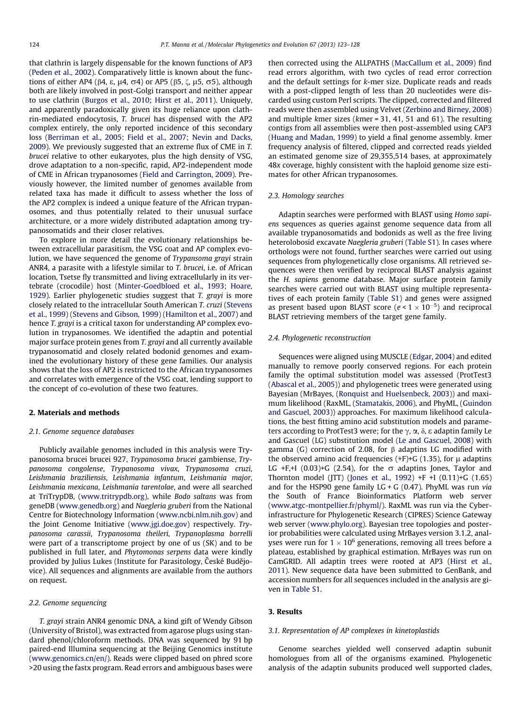that clathrin is largely dispensable for the known functions of AP3 ([Peden et al., 2002\)](#page-5-0). Comparatively little is known about the functions of either AP4 ( $\beta$ 4,  $\epsilon$ ,  $\mu$ 4,  $\sigma$ 4) or AP5 ( $\beta$ 5,  $\zeta$ ,  $\mu$ 5,  $\sigma$ 5), although both are likely involved in post-Golgi transport and neither appear to use clathrin [\(Burgos et al., 2010; Hirst et al., 2011](#page-4-0)). Uniquely, and apparently paradoxically given its huge reliance upon clathrin-mediated endocytosis, T. brucei has dispensed with the AP2 complex entirely, the only reported incidence of this secondary loss ([Berriman et al., 2005; Field et al., 2007; Nevin and Dacks,](#page-4-0) [2009\)](#page-4-0). We previously suggested that an extreme flux of CME in T. brucei relative to other eukaryotes, plus the high density of VSG, drove adaptation to a non-specific, rapid, AP2-independent mode of CME in African trypanosomes [\(Field and Carrington, 2009\)](#page-5-0). Previously however, the limited number of genomes available from related taxa has made it difficult to assess whether the loss of the AP2 complex is indeed a unique feature of the African trypanosomes, and thus potentially related to their unusual surface architecture, or a more widely distributed adaptation among trypanosomatids and their closer relatives.

To explore in more detail the evolutionary relationships between extracellular parasitism, the VSG coat and AP complex evolution, we have sequenced the genome of Trypansoma grayi strain ANR4, a parasite with a lifestyle similar to T. brucei, i.e. of African location, Tsetse fly transmitted and living extracellularly in its vertebrate (crocodile) host ([Minter-Goedbloed et al., 1993; Hoare,](#page-5-0) [1929\)](#page-5-0). Earlier phylogenetic studies suggest that T. grayi is more closely related to the intracellular South American T. cruzi ([Stevens](#page-5-0) [et al., 1999\)](#page-5-0) ([Stevens and Gibson, 1999](#page-5-0)) [\(Hamilton et al., 2007\)](#page-5-0) and hence T. grayi is a critical taxon for understanding AP complex evolution in trypanosomes. We identified the adaptin and potential major surface protein genes from T. grayi and all currently available trypanosomatid and closely related bodonid genomes and examined the evolutionary history of these gene families. Our analysis shows that the loss of AP2 is restricted to the African trypanosomes and correlates with emergence of the VSG coat, lending support to the concept of co-evolution of these two features.

#### 2. Materials and methods

#### 2.1. Genome sequence databases

Publicly available genomes included in this analysis were Trypanosoma brucei brucei 927, Trypanosoma brucei gambiense, Trypanosoma congolense, Trypanosoma vivax, Trypanosoma cruzi, Leishmania braziliensis, Leishmania infantum, Leishmania major, Leishmania mexicana, Leishmania tarentolae, and were all searched at TriTrypDB, [\(www.tritrypdb.org](http://www.tritrypdb.org)), while Bodo saltans was from geneDB ([www.genedb.org](http://www.genedb.org)) and Naegleria gruberi from the National Centre for Biotechnology Information ([www.ncbi.nlm.nih.gov](http://www.ncbi.nlm.nih.gov)) and the Joint Genome Initiative [\(www.jgi.doe.gov](http://www.jgi.doe.gov)) respectively. Trypanosoma carassii, Trypanosoma theileri, Trypanoplasma borrelli were part of a transcriptome project by one of us (SK) and to be published in full later, and Phytomonas serpens data were kindly provided by Julius Lukes (Institute for Parasitology, České Budějovice). All sequences and alignments are available from the authors on request.

# 2.2. Genome sequencing

T. grayi strain ANR4 genomic DNA, a kind gift of Wendy Gibson (University of Bristol), was extracted from agarose plugs using standard phenol/chloroform methods. DNA was sequenced by 91 bp paired-end Illumina sequencing at the Beijing Genomics institute ([www.genomics.cn/en/](http://www.genomics.cn/en/)). Reads were clipped based on phred score >20 using the fastx program. Read errors and ambiguous bases were then corrected using the ALLPATHS ([MacCallum et al., 2009\)](#page-5-0) find read errors algorithm, with two cycles of read error correction and the default settings for k-mer size. Duplicate reads and reads with a post-clipped length of less than 20 nucleotides were discarded using custom Perl scripts. The clipped, corrected and filtered reads were then assembled using Velvet [\(Zerbino and Birney, 2008\)](#page-5-0) and multiple kmer sizes (kmer = 31, 41, 51 and 61). The resulting contigs from all assemblies were then post-assembled using CAP3 ([Huang and Madan, 1999](#page-5-0)) to yield a final genome assembly. kmer frequency analysis of filtered, clipped and corrected reads yielded an estimated genome size of 29,355,514 bases, at approximately 48x coverage, highly consistent with the haploid genome size estimates for other African trypanosomes.

#### 2.3. Homology searches

Adaptin searches were performed with BLAST using Homo sapiens sequences as queries against genome sequence data from all available trypanosomatids and bodonids as well as the free living heterolobosid excavate Naegleria gruberi (Table S1). In cases where orthologs were not found, further searches were carried out using sequences from phylogenetically close organisms. All retrieved sequences were then verified by reciprocal BLAST analysis against the H. sapiens genome database. Major surface protein family searches were carried out with BLAST using multiple representatives of each protein family (Table S1) and genes were assigned as present based upon BLAST score ( $e < 1 \times 10^{-5}$ ) and reciprocal BLAST retrieving members of the target gene family.

#### 2.4. Phylogenetic reconstruction

Sequences were aligned using MUSCLE ([Edgar, 2004](#page-4-0)) and edited manually to remove poorly conserved regions. For each protein family the optimal substitution model was assessed (ProtTest3 ([Abascal et al., 2005](#page-4-0))) and phylogenetic trees were generated using Bayesian (MrBayes, ([Ronquist and Huelsenbeck, 2003](#page-5-0))) and maximum likelihood (RaxML, ([Stamatakis, 2006\)](#page-5-0), and PhyML, [\(Guindon](#page-5-0) [and Gascuel, 2003\)](#page-5-0)) approaches. For maximum likelihood calculations, the best fitting amino acid substitution models and parameters according to ProtTest3 were; for the  $\gamma$ ,  $\alpha$ ,  $\delta$ ,  $\varepsilon$  adaptin family Le and Gascuel (LG) substitution model [\(Le and Gascuel, 2008](#page-5-0)) with gamma (G) correction of 2.08, for  $\beta$  adaptins LG modified with the observed amino acid frequencies  $(+F)+G(1.35)$ , for  $\mu$  adaptins LG +F,+I (0.03)+G (2.54), for the  $\sigma$  adaptins Jones, Taylor and Thornton model (JTT) ([Jones et al., 1992\)](#page-5-0)  $+F + I$  (0.11) $+G$  (1.65) and for the HSP90 gene family LG + G (0.47). PhyML was run via the South of France Bioinformatics Platform web server ([www.atgc-montpellier.fr/phyml/\)](http://www.atgc-montpellier.fr/phyml/). RaxML was run via the Cyberinfrastructure for Phylogenetic Research (CIPRES) Science Gateway web server ([www.phylo.org](http://www.phylo.org)). Bayesian tree topologies and posterior probabilities were calculated using MrBayes version 3.1.2, analyses were run for  $1 \times 10^6$  generations, removing all trees before a plateau, established by graphical estimation. MrBayes was run on CamGRID. All adaptin trees were rooted at AP3 [\(Hirst et al.,](#page-5-0) [2011\)](#page-5-0). New sequence data have been submitted to GenBank, and accession numbers for all sequences included in the analysis are given in Table S1.

# 3. Results

# 3.1. Representation of AP complexes in kinetoplastids

Genome searches yielded well conserved adaptin subunit homologues from all of the organisms examined. Phylogenetic analysis of the adaptin subunits produced well supported clades,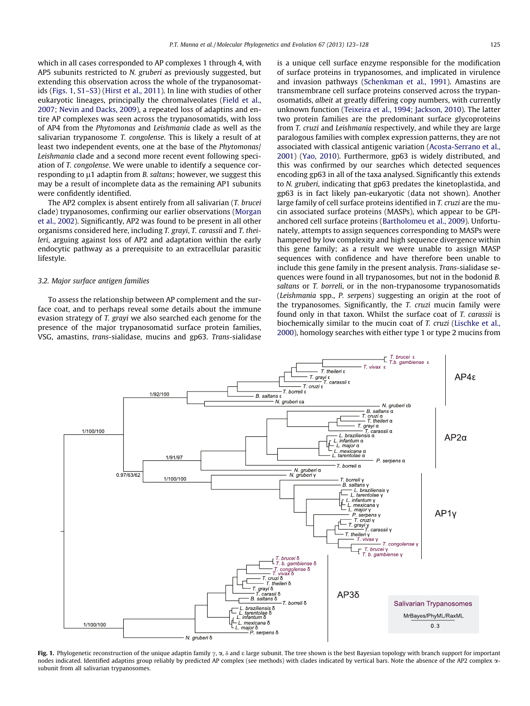which in all cases corresponded to AP complexes 1 through 4, with AP5 subunits restricted to N. gruberi as previously suggested, but extending this observation across the whole of the trypanosomatids (Figs. 1, S1–S3) [\(Hirst et al., 2011\)](#page-5-0). In line with studies of other eukaryotic lineages, principally the chromalveolates [\(Field et al.,](#page-5-0) [2007; Nevin and Dacks, 2009](#page-5-0)), a repeated loss of adaptins and entire AP complexes was seen across the trypanosomatids, with loss of AP4 from the Phytomonas and Leishmania clade as well as the salivarian trypanosome T. congolense. This is likely a result of at least two independent events, one at the base of the *Phytomonas* Leishmania clade and a second more recent event following speciation of T. congolense. We were unable to identify a sequence corresponding to  $\mu$ 1 adaptin from *B. saltans*; however, we suggest this may be a result of incomplete data as the remaining AP1 subunits were confidently identified.

The AP2 complex is absent entirely from all salivarian (T. brucei clade) trypanosomes, confirming our earlier observations [\(Morgan](#page-5-0) [et al., 2002\)](#page-5-0). Significantly, AP2 was found to be present in all other organisms considered here, including T. grayi, T. carassii and T. theileri, arguing against loss of AP2 and adaptation within the early endocytic pathway as a prerequisite to an extracellular parasitic lifestyle.

# 3.2. Major surface antigen families

To assess the relationship between AP complement and the surface coat, and to perhaps reveal some details about the immune evasion strategy of T. grayi we also searched each genome for the presence of the major trypanosomatid surface protein families, VSG, amastins, trans-sialidase, mucins and gp63. Trans-sialidase is a unique cell surface enzyme responsible for the modification of surface proteins in trypanosomes, and implicated in virulence and invasion pathways [\(Schenkman et al., 1991](#page-5-0)). Amastins are transmembrane cell surface proteins conserved across the trypanosomatids, albeit at greatly differing copy numbers, with currently unknown function ([Teixeira et al., 1994; Jackson, 2010](#page-5-0)). The latter two protein families are the predominant surface glycoproteins from T. cruzi and Leishmania respectively, and while they are large paralogous families with complex expression patterns, they are not associated with classical antigenic variation ([Acosta-Serrano et al.,](#page-4-0) [2001](#page-4-0)) [\(Yao, 2010](#page-5-0)). Furthermore, gp63 is widely distributed, and this was confirmed by our searches which detected sequences encoding gp63 in all of the taxa analysed. Significantly this extends to N. gruberi, indicating that gp63 predates the kinetoplastida, and gp63 is in fact likely pan-eukaryotic (data not shown). Another large family of cell surface proteins identified in T. cruzi are the mucin associated surface proteins (MASPs), which appear to be GPIanchored cell surface proteins [\(Bartholomeu et al., 2009\)](#page-4-0). Unfortunately, attempts to assign sequences corresponding to MASPs were hampered by low complexity and high sequence divergence within this gene family; as a result we were unable to assign MASP sequences with confidence and have therefore been unable to include this gene family in the present analysis. Trans-sialidase sequences were found in all trypanosomes, but not in the bodonid B. saltans or T. borreli, or in the non-trypanosome trypanosomatids (Leishmania spp., P. serpens) suggesting an origin at the root of the trypanosomes. Significantly, the T. cruzi mucin family were found only in that taxon. Whilst the surface coat of T. carassii is biochemically similar to the mucin coat of T. cruzi ([Lischke et al.,](#page-5-0) [2000](#page-5-0)), homology searches with either type 1 or type 2 mucins from



Fig. 1. Phylogenetic reconstruction of the unique adaptin family  $\gamma$ ,  $\alpha$ ,  $\delta$  and  $\epsilon$  large subunit. The tree shown is the best Bayesian topology with branch support for important nodes indicated. Identified adaptins group reliably by predicted AP complex (see methods) with clades indicated by vertical bars. Note the absence of the AP2 complex  $\alpha$ subunit from all salivarian trypanosomes.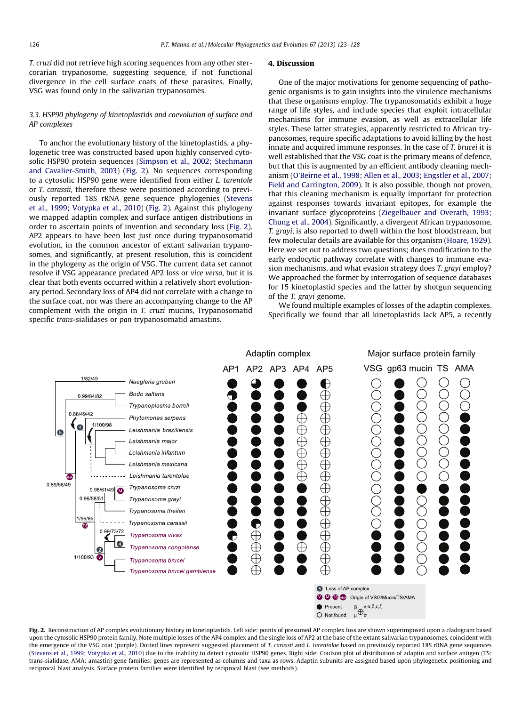T. cruzi did not retrieve high scoring sequences from any other stercorarian trypanosome, suggesting sequence, if not functional divergence in the cell surface coats of these parasites. Finally, VSG was found only in the salivarian trypanosomes.

# 3.3. HSP90 phylogeny of kinetoplastids and coevolution of surface and AP complexes

To anchor the evolutionary history of the kinetoplastids, a phylogenetic tree was constructed based upon highly conserved cytosolic HSP90 protein sequences ([Simpson et al., 2002; Stechmann](#page-5-0) [and Cavalier-Smith, 2003\)](#page-5-0) (Fig. 2). No sequences corresponding to a cytosolic HSP90 gene were identified from either L. tarentole or T. carassii, therefore these were positioned according to previously reported 18S rRNA gene sequence phylogenies ([Stevens](#page-5-0) [et al., 1999; Votypka et al., 2010](#page-5-0)) (Fig. 2). Against this phylogeny we mapped adaptin complex and surface antigen distributions in order to ascertain points of invention and secondary loss (Fig. 2). AP2 appears to have been lost just once during trypanosomatid evolution, in the common ancestor of extant salivarian trypanosomes, and significantly, at present resolution, this is coincident in the phylogeny as the origin of VSG. The current data set cannot resolve if VSG appearance predated AP2 loss or vice versa, but it is clear that both events occurred within a relatively short evolutionary period. Secondary loss of AP4 did not correlate with a change to the surface coat, nor was there an accompanying change to the AP complement with the origin in T. cruzi mucins, Trypanosomatid specific trans-sialidases or pan trypanosomatid amastins.

# 4. Discussion

One of the major motivations for genome sequencing of pathogenic organisms is to gain insights into the virulence mechanisms that these organisms employ. The trypanosomatids exhibit a huge range of life styles, and include species that exploit intracellular mechanisms for immune evasion, as well as extracellular life styles. These latter strategies, apparently restricted to African trypanosomes, require specific adaptations to avoid killing by the host innate and acquired immune responses. In the case of T. brucei it is well established that the VSG coat is the primary means of defence, but that this is augmented by an efficient antibody cleaning mechanism ([O'Beirne et al., 1998; Allen et al., 2003; Engstler et al., 2007;](#page-5-0) [Field and Carrington, 2009\)](#page-5-0). It is also possible, though not proven, that this cleaning mechanism is equally important for protection against responses towards invariant epitopes, for example the invariant surface glycoproteins ([Ziegelbauer and Overath, 1993;](#page-5-0) [Chung et al., 2004](#page-5-0)). Significantly, a divergent African trypanosome, T. grayi, is also reported to dwell within the host bloodstream, but few molecular details are available for this organism [\(Hoare, 1929\)](#page-5-0). Here we set out to address two questions; does modification to the early endocytic pathway correlate with changes to immune evasion mechanisms, and what evasion strategy does T. grayi employ? We approached the former by interrogation of sequence databases for 15 kinetoplastid species and the latter by shotgun sequencing of the T. grayi genome.

We found multiple examples of losses of the adaptin complexes. Specifically we found that all kinetoplastids lack AP5, a recently



Fig. 2. Reconstruction of AP complex evolutionary history in kinetoplastids. Left side: points of presumed AP complex loss are shown superimposed upon a cladogram based upon the cytosolic HSP90 protein family. Note multiple losses of the AP4 complex and the single loss of AP2 at the base of the extant salivarian trypanosomes, coincident with the emergence of the VSG coat (purple). Dotted lines represent suggested placement of T. carassii and L. tarentolae based on previously reported 18S rRNA gene sequences [\(Stevens et al., 1999; Votypka et al., 2010](#page-5-0)) due to the inability to detect cytosolic HSP90 genes. Right side: Coulson plot of distribution of adaptin and surface antigen (TS: trans-sialidase, AMA: amastin) gene families; genes are represented as columns and taxa as rows. Adaptin subunits are assigned based upon phylogenetic positioning and reciprocal blast analysis. Surface protein families were identified by reciprocal blast (see methods).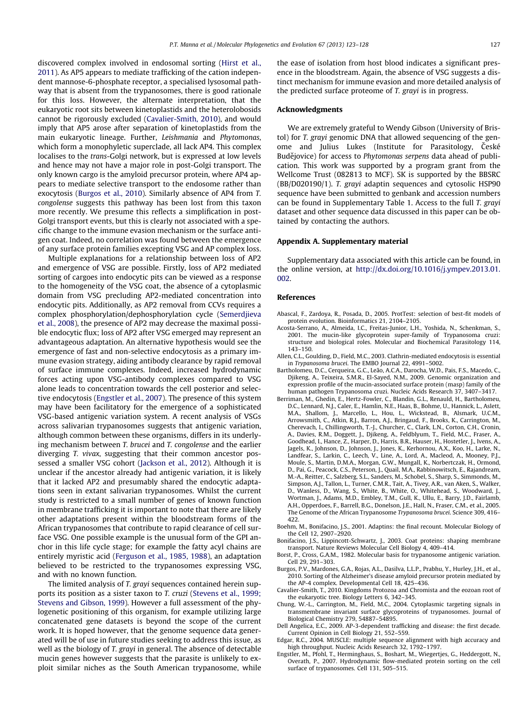<span id="page-4-0"></span>discovered complex involved in endosomal sorting [\(Hirst et al.,](#page-5-0) [2011\)](#page-5-0). As AP5 appears to mediate trafficking of the cation independent mannose-6-phosphate receptor, a specialised lysosomal pathway that is absent from the trypanosomes, there is good rationale for this loss. However, the alternate interpretation, that the eukaryotic root sits between kinetoplastids and the heterolobosids cannot be rigorously excluded (Cavalier-Smith, 2010), and would imply that AP5 arose after separation of kinetoplastids from the main eukaryotic lineage. Further, Leishmania and Phytomonas, which form a monophyletic superclade, all lack AP4. This complex localises to the trans-Golgi network, but is expressed at low levels and hence may not have a major role in post-Golgi transport. The only known cargo is the amyloid precursor protein, where AP4 appears to mediate selective transport to the endosome rather than exocytosis (Burgos et al., 2010). Similarly absence of AP4 from T. congolense suggests this pathway has been lost from this taxon more recently. We presume this reflects a simplification in post-Golgi transport events, but this is clearly not associated with a specific change to the immune evasion mechanism or the surface antigen coat. Indeed, no correlation was found between the emergence of any surface protein families excepting VSG and AP complex loss.

Multiple explanations for a relationship between loss of AP2 and emergence of VSG are possible. Firstly, loss of AP2 mediated sorting of cargoes into endocytic pits can be viewed as a response to the homogeneity of the VSG coat, the absence of a cytoplasmic domain from VSG precluding AP2-mediated concentration into endocytic pits. Additionally, as AP2 removal from CCVs requires a complex phosphorylation/dephosphorylation cycle [\(Semerdjieva](#page-5-0) [et al., 2008\)](#page-5-0), the presence of AP2 may decrease the maximal possible endocytic flux; loss of AP2 after VSG emerged may represent an advantageous adaptation. An alternative hypothesis would see the emergence of fast and non-selective endocytosis as a primary immune evasion strategy, aiding antibody clearance by rapid removal of surface immune complexes. Indeed, increased hydrodynamic forces acting upon VSG-antibody complexes compared to VSG alone leads to concentration towards the cell posterior and selective endocytosis (Engstler et al., 2007). The presence of this system may have been facilitatory for the emergence of a sophisticated VSG-based antigenic variation system. A recent analysis of VSGs across salivarian trypanosomes suggests that antigenic variation, although common between these organisms, differs in its underlying mechanism between T. brucei and T. congolense and the earlier diverging T. vivax, suggesting that their common ancestor possessed a smaller VSG cohort ([Jackson et al., 2012\)](#page-5-0). Although it is unclear if the ancestor already had antigenic variation, it is likely that it lacked AP2 and presumably shared the endocytic adaptations seen in extant salivarian trypanosomes. Whilst the current study is restricted to a small number of genes of known function in membrane trafficking it is important to note that there are likely other adaptations present within the bloodstream forms of the African trypanosomes that contribute to rapid clearance of cell surface VSG. One possible example is the unusual form of the GPI anchor in this life cycle stage; for example the fatty acyl chains are entirely myristic acid ([Ferguson et al., 1985, 1988](#page-5-0)), an adaptation believed to be restricted to the trypanosomes expressing VSG, and with no known function.

The limited analysis of T. grayi sequences contained herein supports its position as a sister taxon to T. cruzi ([Stevens et al., 1999;](#page-5-0) [Stevens and Gibson, 1999](#page-5-0)). However a full assessment of the phylogenetic positioning of this organism, for example utilizing large concatenated gene datasets is beyond the scope of the current work. It is hoped however, that the genome sequence data generated will be of use in future studies seeking to address this issue, as well as the biology of T. grayi in general. The absence of detectable mucin genes however suggests that the parasite is unlikely to exploit similar niches as the South American trypanosome, while the ease of isolation from host blood indicates a significant presence in the bloodstream. Again, the absence of VSG suggests a distinct mechanism for immune evasion and more detailed analysis of the predicted surface proteome of T. grayi is in progress.

### Acknowledgments

We are extremely grateful to Wendy Gibson (University of Bristol) for T. grayi genomic DNA that allowed sequencing of the genome and Julius Lukes (Institute for Parasitology, Ceské Budějovice) for access to Phytomonas serpens data ahead of publication. This work was supported by a program grant from the Wellcome Trust (082813 to MCF). SK is supported by the BBSRC (BB/D020190/1). T. grayi adaptin sequences and cytosolic HSP90 sequence have been submitted to genbank and accession numbers can be found in Supplementary Table 1. Access to the full T. grayi dataset and other sequence data discussed in this paper can be obtained by contacting the authors.

#### Appendix A. Supplementary material

Supplementary data associated with this article can be found, in the online version, at [http://dx.doi.org/10.1016/j.ympev.2013.01.](http://dx.doi.org/10.1016/j.ympev.2013.01.002) [002.](http://dx.doi.org/10.1016/j.ympev.2013.01.002)

#### References

- Abascal, F., Zardoya, R., Posada, D., 2005. ProtTest: selection of best-fit models of protein evolution. Bioinformatics 21, 2104–2105.
- Acosta-Serrano, A., Almeida, I.C., Freitas-Junior, L.H., Yoshida, N., Schenkman, S., 2001. The mucin-like glycoprotein super-family of Trypanosoma cruzi: structure and biological roles. Molecular and Biochemical Parasitology 114, 143–150.
- Allen, C.L., Goulding, D., Field, M.C., 2003. Clathrin-mediated endocytosis is essential in Trypanosoma brucei. The EMBO Journal 22, 4991–5002.
- Bartholomeu, D.C., Cerqueira, G.C., Leão, A.C.A., Darocha, W.D., Pais, F.S., Macedo, C., Djikeng, A., Teixeira, S.M.R., El-Sayed, N.M., 2009. Genomic organization and expression profile of the mucin-associated surface protein (masp) family of the human pathogen Trypanosoma cruzi. Nucleic Acids Research 37, 3407–3417.
- Berriman, M., Ghedin, E., Hertz-Fowler, C., Blandin, G.L., Renauld, H., Bartholomeu, D.C., Lennard, N.J., Caler, E., Hamlin, N.E., Haas, B., Bohme, U., Hannick, L., Aslett, M.A., Shallom, J., Marcello, L., Hou, L., Wickstead, B., Alsmark, U.C.M., Arrowsmith, C., Atkin, R.J., Barron, A.J., Bringaud, F., Brooks, K., Carrington, M., Cherevach, I., Chillingworth, T.-J., Churcher, C., Clark, L.N., Corton, C.H., Cronin, A., Davies, R.M., Doggett, J., Djikeng, A., Feldblyum, T., Field, M.C., Fraser, A., Goodhead, I., Hance, Z., Harper, D., Harris, B.R., Hauser, H., Hostetler, J., Ivens, A., Jagels, K., Johnson, D., Johnson, J., Jones, K., Kerhornou, A.X., Koo, H., Larke, N., Landfear, S., Larkin, C., Leech, V., Line, A., Lord, A., Macleod, A., Mooney, P.J., Moule, S., Martin, D.M.A., Morgan, G.W., Mungall, K., Norbertczak, H., Ormond, D., Pai, G., Peacock, C.S., Peterson, J., Quail, M.A., Rabbinowitsch, E., Rajandream, M.-A., Reitter, C., Salzberg, S.L., Sanders, M., Schobel, S., Sharp, S., Simmonds, M., Simpson, A.J., Tallon, L., Turner, C.M.R., Tait, A., Tivey, A.R., van Aken, S., Walker, D., Wanless, D., Wang, S., White, B., White, O., Whitehead, S., Woodward, J.<br>Wortman, J., Adams, M.D., Embley, T.M., Gull, K., Ullu, E., Barry, J.D., Fairlamb A.H., Opperdoes, F., Barrell, B.G., Donelson, J.E., Hall, N., Fraser, C.M., et al., 2005. The Genome of the African Trypanosome Trypanosoma brucei. Science 309, 416– 422.
- Boehm, M., Bonifacino, J.S., 2001. Adaptins: the final recount. Molecular Biology of the Cell 12, 2907–2920.
- Bonifacino, J.S., Lippincott-Schwartz, J., 2003. Coat proteins: shaping membrane transport. Nature Reviews Molecular Cell Biology 4, 409–414.
- Borst, P., Cross, G.A.M., 1982. Molecular basis for trypanosome antigenic variation. Cell 29, 291–303.
- Burgos, P.V., Mardones, G.A., Rojas, A.L., Dasilva, L.L.P., Prabhu, Y., Hurley, J.H., et al., 2010. Sorting of the Alzheimer's disease amyloid precursor protein mediated by the AP-4 complex. Developmental Cell 18, 425–436.
- Cavalier-Smith, T., 2010. Kingdoms Protozoa and Chromista and the eozoan root of the eukaryotic tree. Biology Letters 6, 342–345.
- Chung, W.-L., Carrington, M., Field, M.C., 2004. Cytoplasmic targeting signals in transmembrane invariant surface glycoproteins of trypanosomes. Journal of Biological Chemistry 279, 54887–54895.
- Dell Angelica, E.C., 2009. AP-3-dependent trafficking and disease: the first decade. Current Opinion in Cell Biology 21, 552–559.
- Edgar, R.C., 2004. MUSCLE: multiple sequence alignment with high accuracy and high throughput. Nucleic Acids Research 32, 1792–1797.
- Engstler, M., Pfohl, T., Herminghaus, S., Boshart, M., Wiegertjes, G., Heddergott, N., Overath, P., 2007. Hydrodynamic flow-mediated protein sorting on the cell surface of trypanosomes. Cell 131, 505–515.